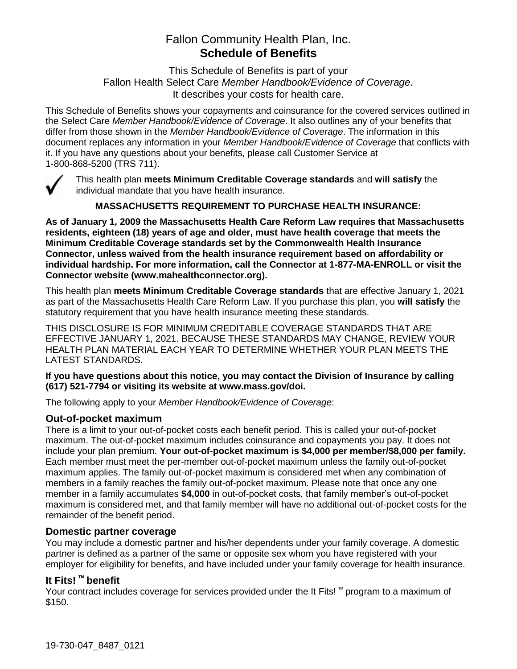# Fallon Community Health Plan, Inc. **Schedule of Benefits**

This Schedule of Benefits is part of your Fallon Health Select Care *Member Handbook/Evidence of Coverage.*  It describes your costs for health care.

This Schedule of Benefits shows your copayments and coinsurance for the covered services outlined in the Select Care *Member Handbook/Evidence of Coverage*. It also outlines any of your benefits that differ from those shown in the *Member Handbook/Evidence of Coverage*. The information in this document replaces any information in your *Member Handbook/Evidence of Coverage* that conflicts with it. If you have any questions about your benefits, please call Customer Service at 1-800-868-5200 (TRS 711).



This health plan **meets Minimum Creditable Coverage standards** and **will satisfy** the individual mandate that you have health insurance.

**MASSACHUSETTS REQUIREMENT TO PURCHASE HEALTH INSURANCE:**

**As of January 1, 2009 the Massachusetts Health Care Reform Law requires that Massachusetts residents, eighteen (18) years of age and older, must have health coverage that meets the Minimum Creditable Coverage standards set by the Commonwealth Health Insurance Connector, unless waived from the health insurance requirement based on affordability or individual hardship. For more information, call the Connector at 1-877-MA-ENROLL or visit the Connector website (www.mahealthconnector.org).** 

This health plan **meets Minimum Creditable Coverage standards** that are effective January 1, 2021 as part of the Massachusetts Health Care Reform Law. If you purchase this plan, you **will satisfy** the statutory requirement that you have health insurance meeting these standards.

THIS DISCLOSURE IS FOR MINIMUM CREDITABLE COVERAGE STANDARDS THAT ARE EFFECTIVE JANUARY 1, 2021. BECAUSE THESE STANDARDS MAY CHANGE, REVIEW YOUR HEALTH PLAN MATERIAL EACH YEAR TO DETERMINE WHETHER YOUR PLAN MEETS THE LATEST STANDARDS.

#### **If you have questions about this notice, you may contact the Division of Insurance by calling (617) 521-7794 or visiting its website at www.mass.gov/doi.**

The following apply to your *Member Handbook/Evidence of Coverage*:

#### **Out-of-pocket maximum**

There is a limit to your out-of-pocket costs each benefit period. This is called your out-of-pocket maximum. The out-of-pocket maximum includes coinsurance and copayments you pay. It does not include your plan premium. **Your out-of-pocket maximum is \$4,000 per member/\$8,000 per family.** Each member must meet the per-member out-of-pocket maximum unless the family out-of-pocket maximum applies. The family out-of-pocket maximum is considered met when any combination of members in a family reaches the family out-of-pocket maximum. Please note that once any one member in a family accumulates **\$4,000** in out-of-pocket costs, that family member's out-of-pocket maximum is considered met, and that family member will have no additional out-of-pocket costs for the remainder of the benefit period.

#### **Domestic partner coverage**

You may include a domestic partner and his/her dependents under your family coverage. A domestic partner is defined as a partner of the same or opposite sex whom you have registered with your employer for eligibility for benefits, and have included under your family coverage for health insurance.

# **It Fits! ™ benefit**

Your contract includes coverage for services provided under the It Fits! ™ program to a maximum of \$150.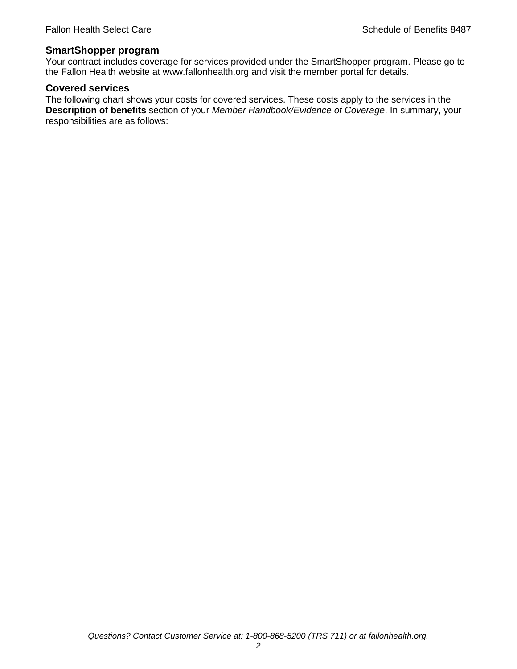#### **SmartShopper program**

Your contract includes coverage for services provided under the SmartShopper program. Please go to the Fallon Health website at www.fallonhealth.org and visit the member portal for details.

#### **Covered services**

The following chart shows your costs for covered services. These costs apply to the services in the **Description of benefits** section of your *Member Handbook/Evidence of Coverage*. In summary, your responsibilities are as follows: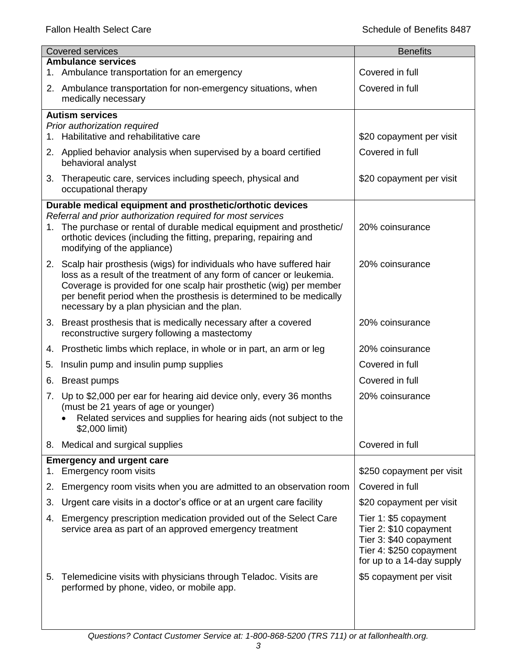|    | <b>Covered services</b>                                                                                                                                                                                                                                                                                                                      | <b>Benefits</b>                                                                                                                   |
|----|----------------------------------------------------------------------------------------------------------------------------------------------------------------------------------------------------------------------------------------------------------------------------------------------------------------------------------------------|-----------------------------------------------------------------------------------------------------------------------------------|
|    | <b>Ambulance services</b><br>1. Ambulance transportation for an emergency                                                                                                                                                                                                                                                                    | Covered in full                                                                                                                   |
|    | 2. Ambulance transportation for non-emergency situations, when<br>medically necessary                                                                                                                                                                                                                                                        | Covered in full                                                                                                                   |
|    | <b>Autism services</b>                                                                                                                                                                                                                                                                                                                       |                                                                                                                                   |
|    | Prior authorization required<br>1. Habilitative and rehabilitative care                                                                                                                                                                                                                                                                      | \$20 copayment per visit                                                                                                          |
|    | 2. Applied behavior analysis when supervised by a board certified<br>behavioral analyst                                                                                                                                                                                                                                                      | Covered in full                                                                                                                   |
|    | 3. Therapeutic care, services including speech, physical and<br>occupational therapy                                                                                                                                                                                                                                                         | \$20 copayment per visit                                                                                                          |
|    | Durable medical equipment and prosthetic/orthotic devices                                                                                                                                                                                                                                                                                    |                                                                                                                                   |
|    | Referral and prior authorization required for most services<br>1. The purchase or rental of durable medical equipment and prosthetic/<br>orthotic devices (including the fitting, preparing, repairing and<br>modifying of the appliance)                                                                                                    | 20% coinsurance                                                                                                                   |
|    | 2. Scalp hair prosthesis (wigs) for individuals who have suffered hair<br>loss as a result of the treatment of any form of cancer or leukemia.<br>Coverage is provided for one scalp hair prosthetic (wig) per member<br>per benefit period when the prosthesis is determined to be medically<br>necessary by a plan physician and the plan. | 20% coinsurance                                                                                                                   |
|    | 3. Breast prosthesis that is medically necessary after a covered<br>reconstructive surgery following a mastectomy                                                                                                                                                                                                                            | 20% coinsurance                                                                                                                   |
|    | 4. Prosthetic limbs which replace, in whole or in part, an arm or leg                                                                                                                                                                                                                                                                        | 20% coinsurance                                                                                                                   |
| 5. | Insulin pump and insulin pump supplies                                                                                                                                                                                                                                                                                                       | Covered in full                                                                                                                   |
| 6. | <b>Breast pumps</b>                                                                                                                                                                                                                                                                                                                          | Covered in full                                                                                                                   |
| 7. | Up to \$2,000 per ear for hearing aid device only, every 36 months<br>(must be 21 years of age or younger)<br>Related services and supplies for hearing aids (not subject to the<br>\$2,000 limit)                                                                                                                                           | 20% coinsurance                                                                                                                   |
| 8. | Medical and surgical supplies                                                                                                                                                                                                                                                                                                                | Covered in full                                                                                                                   |
| 1. | <b>Emergency and urgent care</b><br>Emergency room visits                                                                                                                                                                                                                                                                                    | \$250 copayment per visit                                                                                                         |
| 2. | Emergency room visits when you are admitted to an observation room                                                                                                                                                                                                                                                                           | Covered in full                                                                                                                   |
| 3. | Urgent care visits in a doctor's office or at an urgent care facility                                                                                                                                                                                                                                                                        | \$20 copayment per visit                                                                                                          |
| 4. | Emergency prescription medication provided out of the Select Care<br>service area as part of an approved emergency treatment                                                                                                                                                                                                                 | Tier 1: \$5 copayment<br>Tier 2: \$10 copayment<br>Tier 3: \$40 copayment<br>Tier 4: \$250 copayment<br>for up to a 14-day supply |
| 5. | Telemedicine visits with physicians through Teladoc. Visits are<br>performed by phone, video, or mobile app.                                                                                                                                                                                                                                 | \$5 copayment per visit                                                                                                           |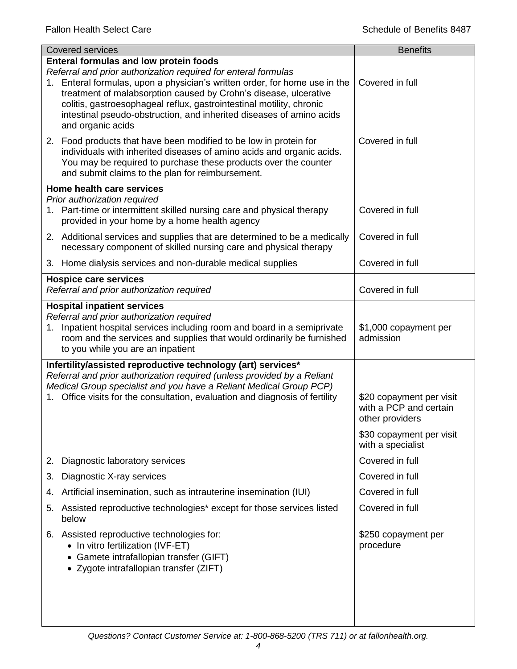| <b>Covered services</b>                                                                                                                                                                                                                                                                                                                                                                                                                | <b>Benefits</b>                                                                                                        |
|----------------------------------------------------------------------------------------------------------------------------------------------------------------------------------------------------------------------------------------------------------------------------------------------------------------------------------------------------------------------------------------------------------------------------------------|------------------------------------------------------------------------------------------------------------------------|
| <b>Enteral formulas and low protein foods</b><br>Referral and prior authorization required for enteral formulas<br>1. Enteral formulas, upon a physician's written order, for home use in the<br>treatment of malabsorption caused by Crohn's disease, ulcerative<br>colitis, gastroesophageal reflux, gastrointestinal motility, chronic<br>intestinal pseudo-obstruction, and inherited diseases of amino acids<br>and organic acids | Covered in full                                                                                                        |
| 2. Food products that have been modified to be low in protein for<br>individuals with inherited diseases of amino acids and organic acids.<br>You may be required to purchase these products over the counter<br>and submit claims to the plan for reimbursement.                                                                                                                                                                      | Covered in full                                                                                                        |
| <b>Home health care services</b>                                                                                                                                                                                                                                                                                                                                                                                                       |                                                                                                                        |
| Prior authorization required<br>1. Part-time or intermittent skilled nursing care and physical therapy<br>provided in your home by a home health agency                                                                                                                                                                                                                                                                                | Covered in full                                                                                                        |
| 2. Additional services and supplies that are determined to be a medically<br>necessary component of skilled nursing care and physical therapy                                                                                                                                                                                                                                                                                          | Covered in full                                                                                                        |
| 3. Home dialysis services and non-durable medical supplies                                                                                                                                                                                                                                                                                                                                                                             | Covered in full                                                                                                        |
| <b>Hospice care services</b><br>Referral and prior authorization required                                                                                                                                                                                                                                                                                                                                                              | Covered in full                                                                                                        |
| <b>Hospital inpatient services</b>                                                                                                                                                                                                                                                                                                                                                                                                     |                                                                                                                        |
| Referral and prior authorization required<br>1. Inpatient hospital services including room and board in a semiprivate<br>room and the services and supplies that would ordinarily be furnished<br>to you while you are an inpatient                                                                                                                                                                                                    | \$1,000 copayment per<br>admission                                                                                     |
| Infertility/assisted reproductive technology (art) services*<br>Referral and prior authorization required (unless provided by a Reliant<br>Medical Group specialist and you have a Reliant Medical Group PCP)<br>1. Office visits for the consultation, evaluation and diagnosis of fertility                                                                                                                                          | \$20 copayment per visit<br>with a PCP and certain<br>other providers<br>\$30 copayment per visit<br>with a specialist |
| Diagnostic laboratory services                                                                                                                                                                                                                                                                                                                                                                                                         | Covered in full                                                                                                        |
| 2.<br>Diagnostic X-ray services<br>3.                                                                                                                                                                                                                                                                                                                                                                                                  | Covered in full                                                                                                        |
|                                                                                                                                                                                                                                                                                                                                                                                                                                        | Covered in full                                                                                                        |
| Artificial insemination, such as intrauterine insemination (IUI)<br>4.                                                                                                                                                                                                                                                                                                                                                                 |                                                                                                                        |
| Assisted reproductive technologies* except for those services listed<br>5.<br>below                                                                                                                                                                                                                                                                                                                                                    | Covered in full                                                                                                        |
| Assisted reproductive technologies for:<br>6.<br>• In vitro fertilization (IVF-ET)<br>Gamete intrafallopian transfer (GIFT)<br>• Zygote intrafallopian transfer (ZIFT)                                                                                                                                                                                                                                                                 | \$250 copayment per<br>procedure                                                                                       |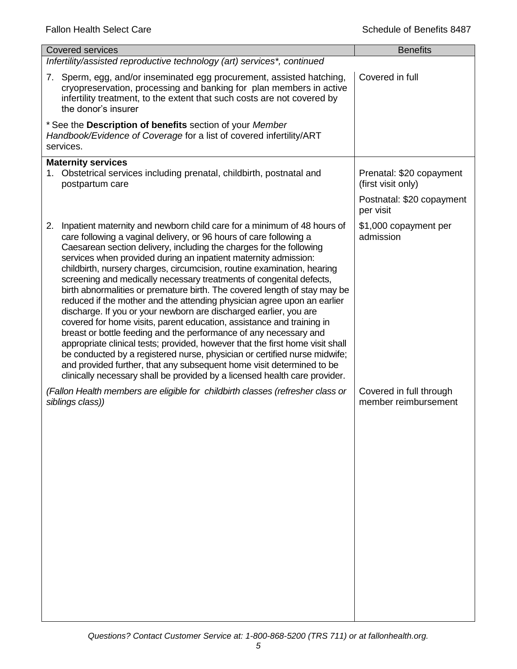| <b>Covered services</b>                                                                                                                                                                                                                                                                                                                                                                                                                                                                                                                                                                                                                                                                                                                                                                                                                                                                                                                                                                                                                                                                                                                         | <b>Benefits</b>                                 |
|-------------------------------------------------------------------------------------------------------------------------------------------------------------------------------------------------------------------------------------------------------------------------------------------------------------------------------------------------------------------------------------------------------------------------------------------------------------------------------------------------------------------------------------------------------------------------------------------------------------------------------------------------------------------------------------------------------------------------------------------------------------------------------------------------------------------------------------------------------------------------------------------------------------------------------------------------------------------------------------------------------------------------------------------------------------------------------------------------------------------------------------------------|-------------------------------------------------|
| Infertility/assisted reproductive technology (art) services*, continued                                                                                                                                                                                                                                                                                                                                                                                                                                                                                                                                                                                                                                                                                                                                                                                                                                                                                                                                                                                                                                                                         |                                                 |
| 7. Sperm, egg, and/or inseminated egg procurement, assisted hatching,<br>cryopreservation, processing and banking for plan members in active<br>infertility treatment, to the extent that such costs are not covered by<br>the donor's insurer                                                                                                                                                                                                                                                                                                                                                                                                                                                                                                                                                                                                                                                                                                                                                                                                                                                                                                  | Covered in full                                 |
| * See the Description of benefits section of your Member<br>Handbook/Evidence of Coverage for a list of covered infertility/ART<br>services.                                                                                                                                                                                                                                                                                                                                                                                                                                                                                                                                                                                                                                                                                                                                                                                                                                                                                                                                                                                                    |                                                 |
| <b>Maternity services</b><br>1. Obstetrical services including prenatal, childbirth, postnatal and<br>postpartum care                                                                                                                                                                                                                                                                                                                                                                                                                                                                                                                                                                                                                                                                                                                                                                                                                                                                                                                                                                                                                           | Prenatal: \$20 copayment<br>(first visit only)  |
|                                                                                                                                                                                                                                                                                                                                                                                                                                                                                                                                                                                                                                                                                                                                                                                                                                                                                                                                                                                                                                                                                                                                                 | Postnatal: \$20 copayment<br>per visit          |
| Inpatient maternity and newborn child care for a minimum of 48 hours of<br>2.<br>care following a vaginal delivery, or 96 hours of care following a<br>Caesarean section delivery, including the charges for the following<br>services when provided during an inpatient maternity admission:<br>childbirth, nursery charges, circumcision, routine examination, hearing<br>screening and medically necessary treatments of congenital defects,<br>birth abnormalities or premature birth. The covered length of stay may be<br>reduced if the mother and the attending physician agree upon an earlier<br>discharge. If you or your newborn are discharged earlier, you are<br>covered for home visits, parent education, assistance and training in<br>breast or bottle feeding and the performance of any necessary and<br>appropriate clinical tests; provided, however that the first home visit shall<br>be conducted by a registered nurse, physician or certified nurse midwife;<br>and provided further, that any subsequent home visit determined to be<br>clinically necessary shall be provided by a licensed health care provider. | \$1,000 copayment per<br>admission              |
| (Fallon Health members are eligible for childbirth classes (refresher class or<br>siblings class))                                                                                                                                                                                                                                                                                                                                                                                                                                                                                                                                                                                                                                                                                                                                                                                                                                                                                                                                                                                                                                              | Covered in full through<br>member reimbursement |
|                                                                                                                                                                                                                                                                                                                                                                                                                                                                                                                                                                                                                                                                                                                                                                                                                                                                                                                                                                                                                                                                                                                                                 |                                                 |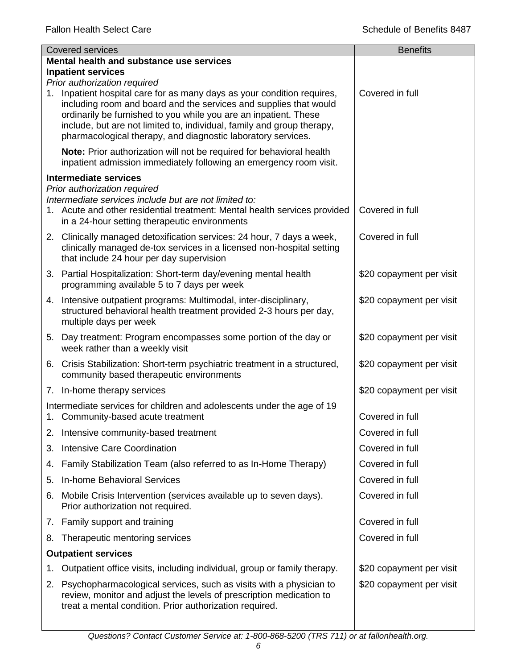|    | <b>Covered services</b>                                                                                                                                                                                                                                                                                                                                    | <b>Benefits</b>          |
|----|------------------------------------------------------------------------------------------------------------------------------------------------------------------------------------------------------------------------------------------------------------------------------------------------------------------------------------------------------------|--------------------------|
|    | Mental health and substance use services                                                                                                                                                                                                                                                                                                                   |                          |
|    | <b>Inpatient services</b><br>Prior authorization required                                                                                                                                                                                                                                                                                                  |                          |
|    | 1. Inpatient hospital care for as many days as your condition requires,<br>including room and board and the services and supplies that would<br>ordinarily be furnished to you while you are an inpatient. These<br>include, but are not limited to, individual, family and group therapy,<br>pharmacological therapy, and diagnostic laboratory services. | Covered in full          |
|    | Note: Prior authorization will not be required for behavioral health<br>inpatient admission immediately following an emergency room visit.                                                                                                                                                                                                                 |                          |
|    | <b>Intermediate services</b>                                                                                                                                                                                                                                                                                                                               |                          |
|    | Prior authorization required<br>Intermediate services include but are not limited to:<br>1. Acute and other residential treatment: Mental health services provided<br>in a 24-hour setting therapeutic environments                                                                                                                                        | Covered in full          |
|    | 2. Clinically managed detoxification services: 24 hour, 7 days a week,<br>clinically managed de-tox services in a licensed non-hospital setting<br>that include 24 hour per day supervision                                                                                                                                                                | Covered in full          |
|    | 3. Partial Hospitalization: Short-term day/evening mental health<br>programming available 5 to 7 days per week                                                                                                                                                                                                                                             | \$20 copayment per visit |
|    | 4. Intensive outpatient programs: Multimodal, inter-disciplinary,<br>structured behavioral health treatment provided 2-3 hours per day,<br>multiple days per week                                                                                                                                                                                          | \$20 copayment per visit |
| 5. | Day treatment: Program encompasses some portion of the day or<br>week rather than a weekly visit                                                                                                                                                                                                                                                           | \$20 copayment per visit |
|    | 6. Crisis Stabilization: Short-term psychiatric treatment in a structured,<br>community based therapeutic environments                                                                                                                                                                                                                                     | \$20 copayment per visit |
|    | 7. In-home therapy services                                                                                                                                                                                                                                                                                                                                | \$20 copayment per visit |
|    | Intermediate services for children and adolescents under the age of 19<br>1. Community-based acute treatment                                                                                                                                                                                                                                               | Covered in full          |
|    | 2. Intensive community-based treatment                                                                                                                                                                                                                                                                                                                     | Covered in full          |
| 3. | <b>Intensive Care Coordination</b>                                                                                                                                                                                                                                                                                                                         | Covered in full          |
| 4. | Family Stabilization Team (also referred to as In-Home Therapy)                                                                                                                                                                                                                                                                                            | Covered in full          |
| 5. | In-home Behavioral Services                                                                                                                                                                                                                                                                                                                                | Covered in full          |
| 6. | Mobile Crisis Intervention (services available up to seven days).<br>Prior authorization not required.                                                                                                                                                                                                                                                     | Covered in full          |
|    | 7. Family support and training                                                                                                                                                                                                                                                                                                                             | Covered in full          |
| 8. | Therapeutic mentoring services                                                                                                                                                                                                                                                                                                                             | Covered in full          |
|    | <b>Outpatient services</b>                                                                                                                                                                                                                                                                                                                                 |                          |
| 1. | Outpatient office visits, including individual, group or family therapy.                                                                                                                                                                                                                                                                                   | \$20 copayment per visit |
| 2. | Psychopharmacological services, such as visits with a physician to<br>review, monitor and adjust the levels of prescription medication to<br>treat a mental condition. Prior authorization required.                                                                                                                                                       | \$20 copayment per visit |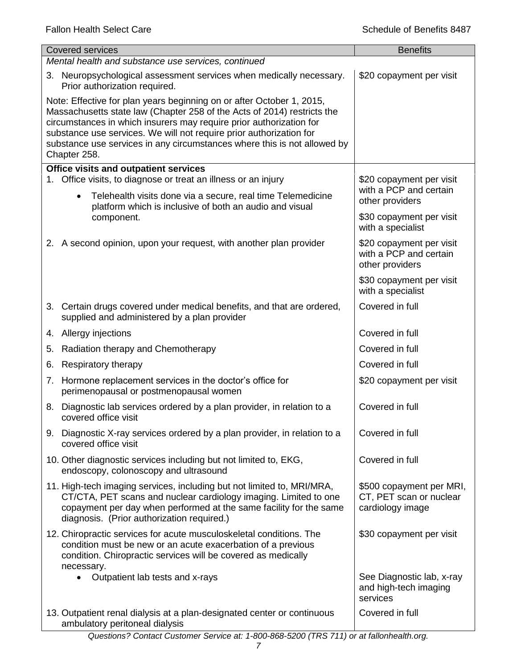|                                                                                                                                                                                                                                                                                                                                                                                            | <b>Covered services</b>                                                                                                                                                                                                                                        | <b>Benefits</b>                                                         |
|--------------------------------------------------------------------------------------------------------------------------------------------------------------------------------------------------------------------------------------------------------------------------------------------------------------------------------------------------------------------------------------------|----------------------------------------------------------------------------------------------------------------------------------------------------------------------------------------------------------------------------------------------------------------|-------------------------------------------------------------------------|
|                                                                                                                                                                                                                                                                                                                                                                                            | Mental health and substance use services, continued                                                                                                                                                                                                            |                                                                         |
|                                                                                                                                                                                                                                                                                                                                                                                            | 3. Neuropsychological assessment services when medically necessary.<br>Prior authorization required.                                                                                                                                                           | \$20 copayment per visit                                                |
| Note: Effective for plan years beginning on or after October 1, 2015,<br>Massachusetts state law (Chapter 258 of the Acts of 2014) restricts the<br>circumstances in which insurers may require prior authorization for<br>substance use services. We will not require prior authorization for<br>substance use services in any circumstances where this is not allowed by<br>Chapter 258. |                                                                                                                                                                                                                                                                |                                                                         |
|                                                                                                                                                                                                                                                                                                                                                                                            | <b>Office visits and outpatient services</b>                                                                                                                                                                                                                   |                                                                         |
|                                                                                                                                                                                                                                                                                                                                                                                            | 1. Office visits, to diagnose or treat an illness or an injury                                                                                                                                                                                                 | \$20 copayment per visit<br>with a PCP and certain                      |
|                                                                                                                                                                                                                                                                                                                                                                                            | Telehealth visits done via a secure, real time Telemedicine<br>$\bullet$<br>platform which is inclusive of both an audio and visual                                                                                                                            | other providers                                                         |
|                                                                                                                                                                                                                                                                                                                                                                                            | component.                                                                                                                                                                                                                                                     | \$30 copayment per visit<br>with a specialist                           |
|                                                                                                                                                                                                                                                                                                                                                                                            | 2. A second opinion, upon your request, with another plan provider                                                                                                                                                                                             | \$20 copayment per visit<br>with a PCP and certain<br>other providers   |
|                                                                                                                                                                                                                                                                                                                                                                                            |                                                                                                                                                                                                                                                                | \$30 copayment per visit<br>with a specialist                           |
|                                                                                                                                                                                                                                                                                                                                                                                            | 3. Certain drugs covered under medical benefits, and that are ordered,<br>supplied and administered by a plan provider                                                                                                                                         | Covered in full                                                         |
|                                                                                                                                                                                                                                                                                                                                                                                            | 4. Allergy injections                                                                                                                                                                                                                                          | Covered in full                                                         |
| 5.                                                                                                                                                                                                                                                                                                                                                                                         | Radiation therapy and Chemotherapy                                                                                                                                                                                                                             | Covered in full                                                         |
| 6.                                                                                                                                                                                                                                                                                                                                                                                         | Respiratory therapy                                                                                                                                                                                                                                            | Covered in full                                                         |
| 7.                                                                                                                                                                                                                                                                                                                                                                                         | Hormone replacement services in the doctor's office for<br>perimenopausal or postmenopausal women                                                                                                                                                              | \$20 copayment per visit                                                |
|                                                                                                                                                                                                                                                                                                                                                                                            | 8. Diagnostic lab services ordered by a plan provider, in relation to a<br>covered office visit                                                                                                                                                                | Covered in full                                                         |
|                                                                                                                                                                                                                                                                                                                                                                                            | 9. Diagnostic X-ray services ordered by a plan provider, in relation to a<br>covered office visit                                                                                                                                                              | Covered in full                                                         |
|                                                                                                                                                                                                                                                                                                                                                                                            | 10. Other diagnostic services including but not limited to, EKG,<br>endoscopy, colonoscopy and ultrasound                                                                                                                                                      | Covered in full                                                         |
|                                                                                                                                                                                                                                                                                                                                                                                            | 11. High-tech imaging services, including but not limited to, MRI/MRA,<br>CT/CTA, PET scans and nuclear cardiology imaging. Limited to one<br>copayment per day when performed at the same facility for the same<br>diagnosis. (Prior authorization required.) | \$500 copayment per MRI,<br>CT, PET scan or nuclear<br>cardiology image |
|                                                                                                                                                                                                                                                                                                                                                                                            | 12. Chiropractic services for acute musculoskeletal conditions. The<br>condition must be new or an acute exacerbation of a previous<br>condition. Chiropractic services will be covered as medically<br>necessary.                                             | \$30 copayment per visit                                                |
|                                                                                                                                                                                                                                                                                                                                                                                            | Outpatient lab tests and x-rays                                                                                                                                                                                                                                | See Diagnostic lab, x-ray<br>and high-tech imaging<br>services          |
|                                                                                                                                                                                                                                                                                                                                                                                            | 13. Outpatient renal dialysis at a plan-designated center or continuous<br>ambulatory peritoneal dialysis                                                                                                                                                      | Covered in full                                                         |

#### *Questions? Contact Customer Service at: 1-800-868-5200 (TRS 711) or at fallonhealth.org.*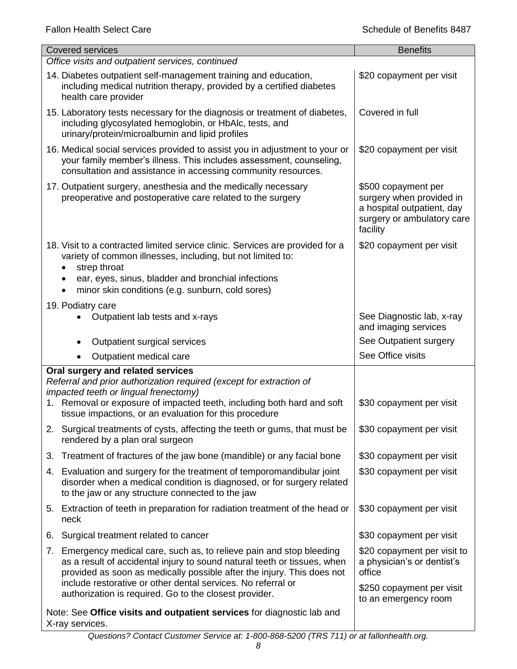| <b>Covered services</b>                                                                                                                                                                                                                                                                        | <b>Benefits</b>                                                                                                         |
|------------------------------------------------------------------------------------------------------------------------------------------------------------------------------------------------------------------------------------------------------------------------------------------------|-------------------------------------------------------------------------------------------------------------------------|
| Office visits and outpatient services, continued                                                                                                                                                                                                                                               |                                                                                                                         |
| 14. Diabetes outpatient self-management training and education,<br>including medical nutrition therapy, provided by a certified diabetes<br>health care provider                                                                                                                               | \$20 copayment per visit                                                                                                |
| 15. Laboratory tests necessary for the diagnosis or treatment of diabetes,<br>including glycosylated hemoglobin, or HbAlc, tests, and<br>urinary/protein/microalbumin and lipid profiles                                                                                                       | Covered in full                                                                                                         |
| 16. Medical social services provided to assist you in adjustment to your or<br>your family member's illness. This includes assessment, counseling,<br>consultation and assistance in accessing community resources.                                                                            | \$20 copayment per visit                                                                                                |
| 17. Outpatient surgery, anesthesia and the medically necessary<br>preoperative and postoperative care related to the surgery                                                                                                                                                                   | \$500 copayment per<br>surgery when provided in<br>a hospital outpatient, day<br>surgery or ambulatory care<br>facility |
| 18. Visit to a contracted limited service clinic. Services are provided for a<br>variety of common illnesses, including, but not limited to:<br>strep throat<br>$\bullet$<br>ear, eyes, sinus, bladder and bronchial infections                                                                | \$20 copayment per visit                                                                                                |
| minor skin conditions (e.g. sunburn, cold sores)                                                                                                                                                                                                                                               |                                                                                                                         |
| 19. Podiatry care                                                                                                                                                                                                                                                                              |                                                                                                                         |
| Outpatient lab tests and x-rays                                                                                                                                                                                                                                                                | See Diagnostic lab, x-ray<br>and imaging services                                                                       |
| Outpatient surgical services                                                                                                                                                                                                                                                                   | See Outpatient surgery                                                                                                  |
| Outpatient medical care                                                                                                                                                                                                                                                                        | See Office visits                                                                                                       |
| Oral surgery and related services<br>Referral and prior authorization required (except for extraction of<br>impacted teeth or lingual frenectomy)                                                                                                                                              |                                                                                                                         |
| Removal or exposure of impacted teeth, including both hard and soft<br>1.<br>tissue impactions, or an evaluation for this procedure                                                                                                                                                            | \$30 copayment per visit                                                                                                |
| 2. Surgical treatments of cysts, affecting the teeth or gums, that must be<br>rendered by a plan oral surgeon                                                                                                                                                                                  | \$30 copayment per visit                                                                                                |
| Treatment of fractures of the jaw bone (mandible) or any facial bone<br>3.                                                                                                                                                                                                                     | \$30 copayment per visit                                                                                                |
| 4. Evaluation and surgery for the treatment of temporomandibular joint<br>disorder when a medical condition is diagnosed, or for surgery related<br>to the jaw or any structure connected to the jaw                                                                                           | \$30 copayment per visit                                                                                                |
| 5. Extraction of teeth in preparation for radiation treatment of the head or<br>neck                                                                                                                                                                                                           | \$30 copayment per visit                                                                                                |
| Surgical treatment related to cancer<br>6.                                                                                                                                                                                                                                                     | \$30 copayment per visit                                                                                                |
| Emergency medical care, such as, to relieve pain and stop bleeding<br>7.<br>as a result of accidental injury to sound natural teeth or tissues, when<br>provided as soon as medically possible after the injury. This does not<br>include restorative or other dental services. No referral or | \$20 copayment per visit to<br>a physician's or dentist's<br>office                                                     |
| authorization is required. Go to the closest provider.                                                                                                                                                                                                                                         | \$250 copayment per visit<br>to an emergency room                                                                       |
| Note: See Office visits and outpatient services for diagnostic lab and<br>X-ray services.                                                                                                                                                                                                      |                                                                                                                         |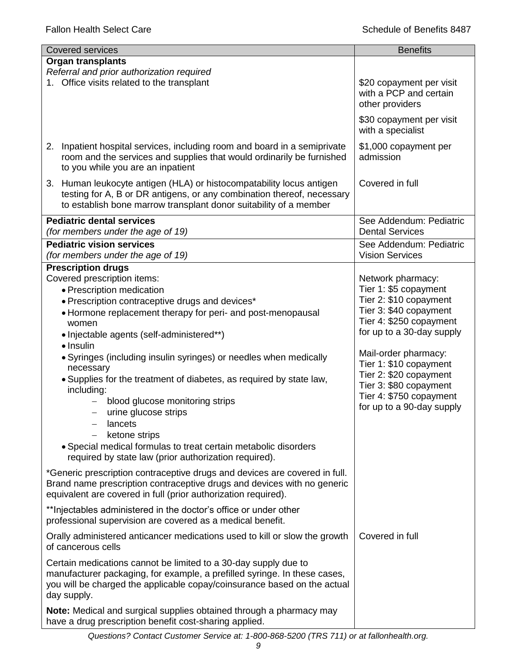| <b>Covered services</b>                                                                                                                                                                                                                                                                                                    | <b>Benefits</b>                                                                                                                                                                |
|----------------------------------------------------------------------------------------------------------------------------------------------------------------------------------------------------------------------------------------------------------------------------------------------------------------------------|--------------------------------------------------------------------------------------------------------------------------------------------------------------------------------|
| <b>Organ transplants</b>                                                                                                                                                                                                                                                                                                   |                                                                                                                                                                                |
| Referral and prior authorization required                                                                                                                                                                                                                                                                                  |                                                                                                                                                                                |
| 1. Office visits related to the transplant                                                                                                                                                                                                                                                                                 | \$20 copayment per visit<br>with a PCP and certain<br>other providers                                                                                                          |
|                                                                                                                                                                                                                                                                                                                            | \$30 copayment per visit<br>with a specialist                                                                                                                                  |
| Inpatient hospital services, including room and board in a semiprivate<br>2.<br>room and the services and supplies that would ordinarily be furnished<br>to you while you are an inpatient                                                                                                                                 | \$1,000 copayment per<br>admission                                                                                                                                             |
| 3. Human leukocyte antigen (HLA) or histocompatability locus antigen<br>testing for A, B or DR antigens, or any combination thereof, necessary<br>to establish bone marrow transplant donor suitability of a member                                                                                                        | Covered in full                                                                                                                                                                |
| <b>Pediatric dental services</b><br>(for members under the age of 19)                                                                                                                                                                                                                                                      | See Addendum: Pediatric<br><b>Dental Services</b>                                                                                                                              |
| <b>Pediatric vision services</b><br>(for members under the age of 19)                                                                                                                                                                                                                                                      | See Addendum: Pediatric<br><b>Vision Services</b>                                                                                                                              |
| <b>Prescription drugs</b>                                                                                                                                                                                                                                                                                                  |                                                                                                                                                                                |
| Covered prescription items:<br>• Prescription medication<br>• Prescription contraceptive drugs and devices*<br>• Hormone replacement therapy for peri- and post-menopausal<br>women<br>• Injectable agents (self-administered**)<br>$\bullet$ Insulin<br>• Syringes (including insulin syringes) or needles when medically | Network pharmacy:<br>Tier 1: \$5 copayment<br>Tier 2: \$10 copayment<br>Tier 3: \$40 copayment<br>Tier 4: \$250 copayment<br>for up to a 30-day supply<br>Mail-order pharmacy: |
| necessary<br>. Supplies for the treatment of diabetes, as required by state law,<br>including:<br>blood glucose monitoring strips<br>urine glucose strips<br>lancets<br>ketone strips<br>• Special medical formulas to treat certain metabolic disorders<br>required by state law (prior authorization required).          | Tier 1: \$10 copayment<br>Tier 2: \$20 copayment<br>Tier 3: \$80 copayment<br>Tier 4: \$750 copayment<br>for up to a 90-day supply                                             |
| *Generic prescription contraceptive drugs and devices are covered in full.<br>Brand name prescription contraceptive drugs and devices with no generic<br>equivalent are covered in full (prior authorization required).                                                                                                    |                                                                                                                                                                                |
| ** Injectables administered in the doctor's office or under other<br>professional supervision are covered as a medical benefit.                                                                                                                                                                                            |                                                                                                                                                                                |
| Orally administered anticancer medications used to kill or slow the growth<br>of cancerous cells                                                                                                                                                                                                                           | Covered in full                                                                                                                                                                |
| Certain medications cannot be limited to a 30-day supply due to<br>manufacturer packaging, for example, a prefilled syringe. In these cases,<br>you will be charged the applicable copay/coinsurance based on the actual<br>day supply.                                                                                    |                                                                                                                                                                                |
| Note: Medical and surgical supplies obtained through a pharmacy may<br>have a drug prescription benefit cost-sharing applied.                                                                                                                                                                                              |                                                                                                                                                                                |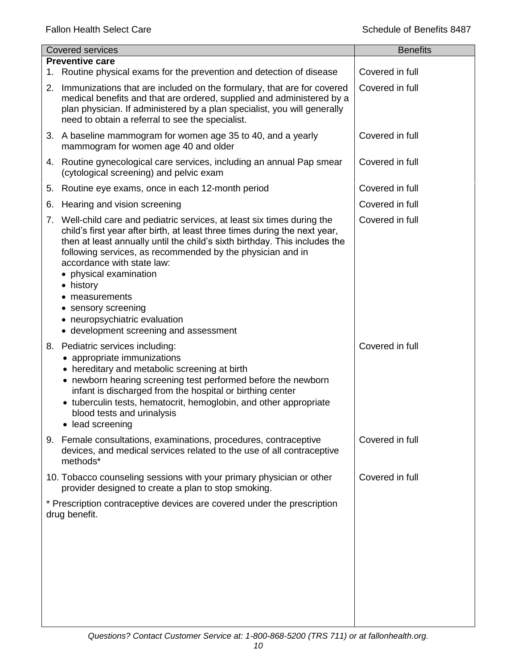|    | <b>Covered services</b>                                                                                                                                                                                                                                                                                                                                                                                                                                                                          | <b>Benefits</b> |
|----|--------------------------------------------------------------------------------------------------------------------------------------------------------------------------------------------------------------------------------------------------------------------------------------------------------------------------------------------------------------------------------------------------------------------------------------------------------------------------------------------------|-----------------|
| 1. | <b>Preventive care</b><br>Routine physical exams for the prevention and detection of disease                                                                                                                                                                                                                                                                                                                                                                                                     | Covered in full |
| 2. | Immunizations that are included on the formulary, that are for covered<br>medical benefits and that are ordered, supplied and administered by a<br>plan physician. If administered by a plan specialist, you will generally<br>need to obtain a referral to see the specialist.                                                                                                                                                                                                                  | Covered in full |
|    | 3. A baseline mammogram for women age 35 to 40, and a yearly<br>mammogram for women age 40 and older                                                                                                                                                                                                                                                                                                                                                                                             | Covered in full |
|    | 4. Routine gynecological care services, including an annual Pap smear<br>(cytological screening) and pelvic exam                                                                                                                                                                                                                                                                                                                                                                                 | Covered in full |
| 5. | Routine eye exams, once in each 12-month period                                                                                                                                                                                                                                                                                                                                                                                                                                                  | Covered in full |
| 6. | Hearing and vision screening                                                                                                                                                                                                                                                                                                                                                                                                                                                                     | Covered in full |
| 7. | Well-child care and pediatric services, at least six times during the<br>child's first year after birth, at least three times during the next year,<br>then at least annually until the child's sixth birthday. This includes the<br>following services, as recommended by the physician and in<br>accordance with state law:<br>physical examination<br>history<br>$\bullet$<br>measurements<br>sensory screening<br>neuropsychiatric evaluation<br>٠<br>• development screening and assessment | Covered in full |
| 8. | Pediatric services including:<br>• appropriate immunizations<br>• hereditary and metabolic screening at birth<br>• newborn hearing screening test performed before the newborn<br>infant is discharged from the hospital or birthing center<br>• tuberculin tests, hematocrit, hemoglobin, and other appropriate<br>blood tests and urinalysis<br>• lead screening                                                                                                                               | Covered in full |
|    | 9. Female consultations, examinations, procedures, contraceptive<br>devices, and medical services related to the use of all contraceptive<br>methods*                                                                                                                                                                                                                                                                                                                                            | Covered in full |
|    | 10. Tobacco counseling sessions with your primary physician or other<br>provider designed to create a plan to stop smoking.                                                                                                                                                                                                                                                                                                                                                                      | Covered in full |
|    | * Prescription contraceptive devices are covered under the prescription<br>drug benefit.                                                                                                                                                                                                                                                                                                                                                                                                         |                 |
|    |                                                                                                                                                                                                                                                                                                                                                                                                                                                                                                  |                 |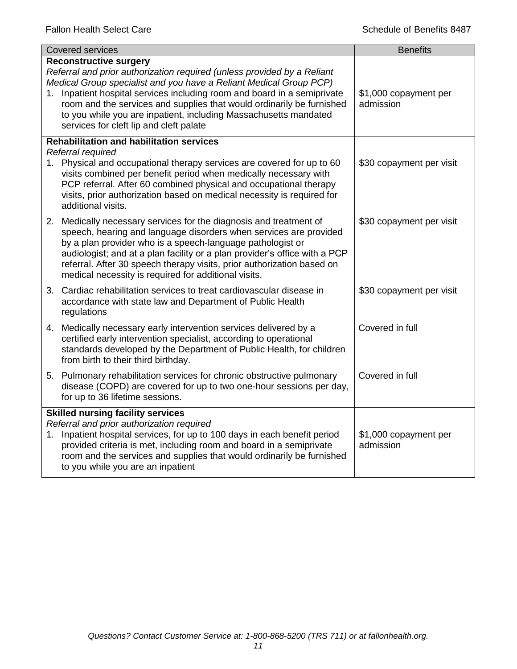| <b>Covered services</b>                                                                                                                                                                                                                                                                                                                                                                                                                            | <b>Benefits</b>                    |  |
|----------------------------------------------------------------------------------------------------------------------------------------------------------------------------------------------------------------------------------------------------------------------------------------------------------------------------------------------------------------------------------------------------------------------------------------------------|------------------------------------|--|
| <b>Reconstructive surgery</b><br>Referral and prior authorization required (unless provided by a Reliant<br>Medical Group specialist and you have a Reliant Medical Group PCP)<br>1. Inpatient hospital services including room and board in a semiprivate<br>room and the services and supplies that would ordinarily be furnished<br>to you while you are inpatient, including Massachusetts mandated<br>services for cleft lip and cleft palate | \$1,000 copayment per<br>admission |  |
| <b>Rehabilitation and habilitation services</b>                                                                                                                                                                                                                                                                                                                                                                                                    |                                    |  |
| Referral required<br>1. Physical and occupational therapy services are covered for up to 60<br>visits combined per benefit period when medically necessary with<br>PCP referral. After 60 combined physical and occupational therapy<br>visits, prior authorization based on medical necessity is required for<br>additional visits.                                                                                                               | \$30 copayment per visit           |  |
| 2. Medically necessary services for the diagnosis and treatment of<br>speech, hearing and language disorders when services are provided<br>by a plan provider who is a speech-language pathologist or<br>audiologist; and at a plan facility or a plan provider's office with a PCP<br>referral. After 30 speech therapy visits, prior authorization based on<br>medical necessity is required for additional visits.                              | \$30 copayment per visit           |  |
| 3. Cardiac rehabilitation services to treat cardiovascular disease in<br>accordance with state law and Department of Public Health<br>regulations                                                                                                                                                                                                                                                                                                  | \$30 copayment per visit           |  |
| 4. Medically necessary early intervention services delivered by a<br>certified early intervention specialist, according to operational<br>standards developed by the Department of Public Health, for children<br>from birth to their third birthday.                                                                                                                                                                                              | Covered in full                    |  |
| 5. Pulmonary rehabilitation services for chronic obstructive pulmonary<br>disease (COPD) are covered for up to two one-hour sessions per day,<br>for up to 36 lifetime sessions.                                                                                                                                                                                                                                                                   | Covered in full                    |  |
| <b>Skilled nursing facility services</b>                                                                                                                                                                                                                                                                                                                                                                                                           |                                    |  |
| Referral and prior authorization required<br>1. Inpatient hospital services, for up to 100 days in each benefit period<br>provided criteria is met, including room and board in a semiprivate<br>room and the services and supplies that would ordinarily be furnished<br>to you while you are an inpatient                                                                                                                                        | \$1,000 copayment per<br>admission |  |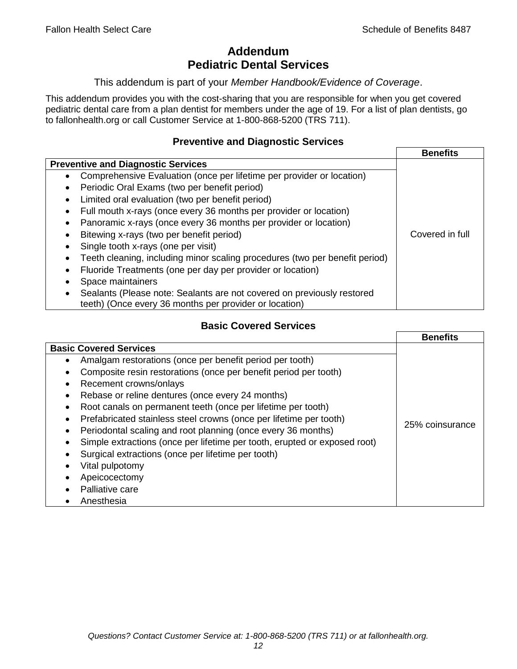# **Addendum Pediatric Dental Services**

#### This addendum is part of your *Member Handbook/Evidence of Coverage*.

This addendum provides you with the cost-sharing that you are responsible for when you get covered pediatric dental care from a plan dentist for members under the age of 19. For a list of plan dentists, go to fallonhealth.org or call Customer Service at 1-800-868-5200 (TRS 711).

## **Preventive and Diagnostic Services**

|                                                                                    | <b>Benefits</b> |
|------------------------------------------------------------------------------------|-----------------|
| <b>Preventive and Diagnostic Services</b>                                          |                 |
| Comprehensive Evaluation (once per lifetime per provider or location)<br>$\bullet$ |                 |
| Periodic Oral Exams (two per benefit period)<br>٠                                  |                 |
| Limited oral evaluation (two per benefit period)<br>٠                              |                 |
| Full mouth x-rays (once every 36 months per provider or location)                  |                 |
| Panoramic x-rays (once every 36 months per provider or location)<br>٠              |                 |
| Bitewing x-rays (two per benefit period)                                           | Covered in full |
| Single tooth x-rays (one per visit)                                                |                 |
| Teeth cleaning, including minor scaling procedures (two per benefit period)        |                 |
| Fluoride Treatments (one per day per provider or location)                         |                 |
| Space maintainers                                                                  |                 |
| Sealants (Please note: Sealants are not covered on previously restored             |                 |
| teeth) (Once every 36 months per provider or location)                             |                 |

## **Basic Covered Services**

|                                                                           | <b>Benefits</b> |
|---------------------------------------------------------------------------|-----------------|
| <b>Basic Covered Services</b>                                             |                 |
| Amalgam restorations (once per benefit period per tooth)<br>$\bullet$     |                 |
| Composite resin restorations (once per benefit period per tooth)          |                 |
| Recement crowns/onlays<br>$\bullet$                                       |                 |
| Rebase or reline dentures (once every 24 months)                          |                 |
| Root canals on permanent teeth (once per lifetime per tooth)<br>$\bullet$ |                 |
| Prefabricated stainless steel crowns (once per lifetime per tooth)        |                 |
| Periodontal scaling and root planning (once every 36 months)<br>$\bullet$ | 25% coinsurance |
| Simple extractions (once per lifetime per tooth, erupted or exposed root) |                 |
| Surgical extractions (once per lifetime per tooth)                        |                 |
| Vital pulpotomy                                                           |                 |
| Apeicocectomy                                                             |                 |
| Palliative care                                                           |                 |
| Anesthesia                                                                |                 |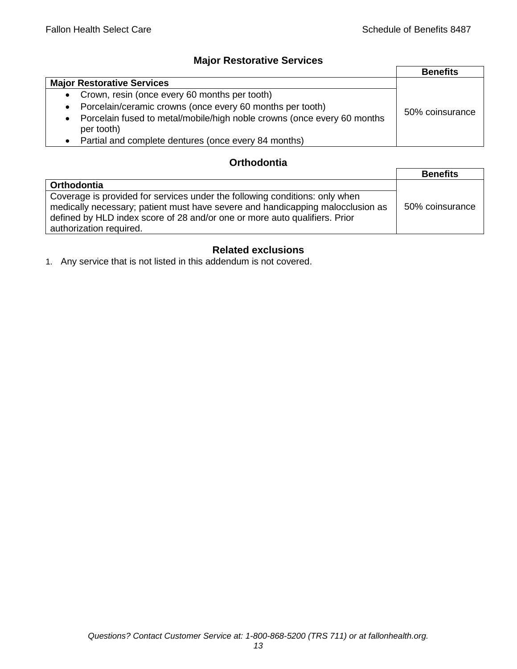## **Major Restorative Services**

|                                                                                                    | <b>Benefits</b> |
|----------------------------------------------------------------------------------------------------|-----------------|
| <b>Major Restorative Services</b>                                                                  |                 |
| Crown, resin (once every 60 months per tooth)<br>$\bullet$                                         |                 |
| Porcelain/ceramic crowns (once every 60 months per tooth)<br>$\bullet$                             | 50% coinsurance |
| Porcelain fused to metal/mobile/high noble crowns (once every 60 months<br>$\bullet$<br>per tooth) |                 |
| Partial and complete dentures (once every 84 months)                                               |                 |

## **Orthodontia**

|                                                                                                                                                                                                                                                                        | <b>Benefits</b> |
|------------------------------------------------------------------------------------------------------------------------------------------------------------------------------------------------------------------------------------------------------------------------|-----------------|
| Orthodontia                                                                                                                                                                                                                                                            |                 |
| Coverage is provided for services under the following conditions: only when<br>medically necessary; patient must have severe and handicapping malocclusion as<br>defined by HLD index score of 28 and/or one or more auto qualifiers. Prior<br>authorization required. | 50% coinsurance |

## **Related exclusions**

1. Any service that is not listed in this addendum is not covered.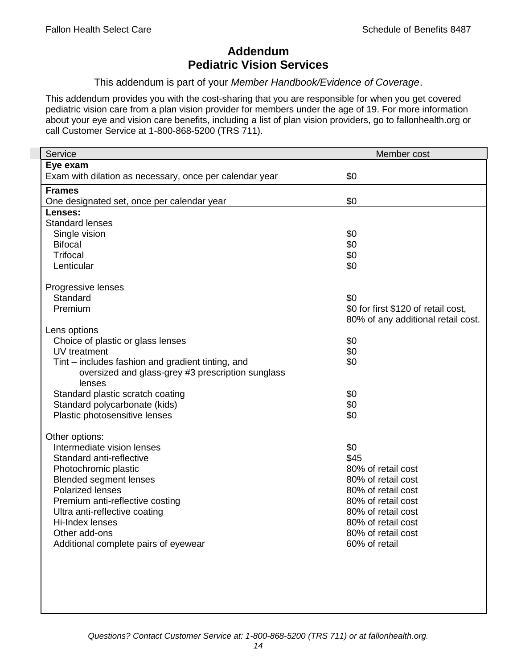# **Addendum Pediatric Vision Services**

This addendum is part of your *Member Handbook/Evidence of Coverage*.

This addendum provides you with the cost-sharing that you are responsible for when you get covered pediatric vision care from a plan vision provider for members under the age of 19. For more information about your eye and vision care benefits, including a list of plan vision providers, go to fallonhealth.org or call Customer Service at 1-800-868-5200 (TRS 711).

| Service                                                 | Member cost                         |
|---------------------------------------------------------|-------------------------------------|
| Eye exam                                                |                                     |
| Exam with dilation as necessary, once per calendar year | \$0                                 |
| <b>Frames</b>                                           |                                     |
| One designated set, once per calendar year              | \$0                                 |
| Lenses:                                                 |                                     |
| <b>Standard lenses</b>                                  |                                     |
| Single vision                                           | \$0                                 |
| <b>Bifocal</b>                                          | \$0                                 |
| <b>Trifocal</b>                                         | \$0                                 |
| Lenticular                                              | \$0                                 |
| Progressive lenses                                      |                                     |
| Standard                                                | \$0                                 |
| Premium                                                 | \$0 for first \$120 of retail cost, |
|                                                         | 80% of any additional retail cost.  |
| Lens options                                            |                                     |
| Choice of plastic or glass lenses                       | \$0                                 |
| UV treatment                                            | \$0                                 |
| Tint – includes fashion and gradient tinting, and       | \$0                                 |
| oversized and glass-grey #3 prescription sunglass       |                                     |
| lenses                                                  |                                     |
| Standard plastic scratch coating                        | \$0                                 |
| Standard polycarbonate (kids)                           | \$0                                 |
| Plastic photosensitive lenses                           | \$0                                 |
| Other options:                                          |                                     |
| Intermediate vision lenses                              | \$0                                 |
| Standard anti-reflective                                | \$45                                |
| Photochromic plastic                                    | 80% of retail cost                  |
| <b>Blended segment lenses</b>                           | 80% of retail cost                  |
| <b>Polarized lenses</b>                                 | 80% of retail cost                  |
| Premium anti-reflective costing                         | 80% of retail cost                  |
| Ultra anti-reflective coating                           | 80% of retail cost                  |
| Hi-Index lenses                                         | 80% of retail cost                  |
| Other add-ons                                           | 80% of retail cost                  |
| Additional complete pairs of eyewear                    | 60% of retail                       |
|                                                         |                                     |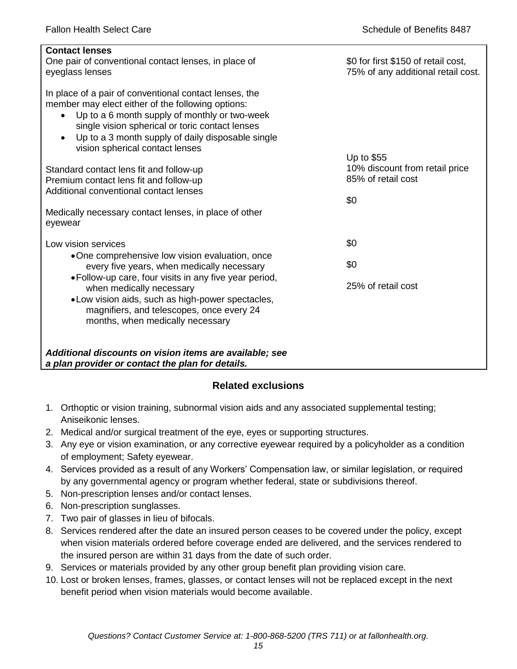| <b>Contact lenses</b><br>One pair of conventional contact lenses, in place of<br>eyeglass lenses                                                                                                                                                                                                                     | \$0 for first \$150 of retail cost,<br>75% of any additional retail cost. |
|----------------------------------------------------------------------------------------------------------------------------------------------------------------------------------------------------------------------------------------------------------------------------------------------------------------------|---------------------------------------------------------------------------|
| In place of a pair of conventional contact lenses, the<br>member may elect either of the following options:<br>Up to a 6 month supply of monthly or two-week<br>$\bullet$<br>single vision spherical or toric contact lenses<br>Up to a 3 month supply of daily disposable single<br>vision spherical contact lenses |                                                                           |
|                                                                                                                                                                                                                                                                                                                      | Up to \$55<br>10% discount from retail price                              |
| Standard contact lens fit and follow-up<br>Premium contact lens fit and follow-up                                                                                                                                                                                                                                    | 85% of retail cost                                                        |
| Additional conventional contact lenses                                                                                                                                                                                                                                                                               |                                                                           |
|                                                                                                                                                                                                                                                                                                                      | \$0                                                                       |
| Medically necessary contact lenses, in place of other<br>eyewear                                                                                                                                                                                                                                                     |                                                                           |
| Low vision services                                                                                                                                                                                                                                                                                                  | \$0                                                                       |
| •One comprehensive low vision evaluation, once<br>every five years, when medically necessary                                                                                                                                                                                                                         | \$0                                                                       |
| • Follow-up care, four visits in any five year period,<br>when medically necessary<br>• Low vision aids, such as high-power spectacles,<br>magnifiers, and telescopes, once every 24                                                                                                                                 | 25% of retail cost                                                        |
| months, when medically necessary                                                                                                                                                                                                                                                                                     |                                                                           |
|                                                                                                                                                                                                                                                                                                                      |                                                                           |
| Additional discounts on vision items are available; see<br>a plan provider or contact the plan for details.                                                                                                                                                                                                          |                                                                           |

## **Related exclusions**

- 1. Orthoptic or vision training, subnormal vision aids and any associated supplemental testing; Aniseikonic lenses.
- 2. Medical and/or surgical treatment of the eye, eyes or supporting structures.
- 3. Any eye or vision examination, or any corrective eyewear required by a policyholder as a condition of employment; Safety eyewear.
- 4. Services provided as a result of any Workers' Compensation law, or similar legislation, or required by any governmental agency or program whether federal, state or subdivisions thereof.
- 5. Non-prescription lenses and/or contact lenses.
- 6. Non-prescription sunglasses.
- 7. Two pair of glasses in lieu of bifocals.
- 8. Services rendered after the date an insured person ceases to be covered under the policy, except when vision materials ordered before coverage ended are delivered, and the services rendered to the insured person are within 31 days from the date of such order.
- 9. Services or materials provided by any other group benefit plan providing vision care.
- 10. Lost or broken lenses, frames, glasses, or contact lenses will not be replaced except in the next benefit period when vision materials would become available.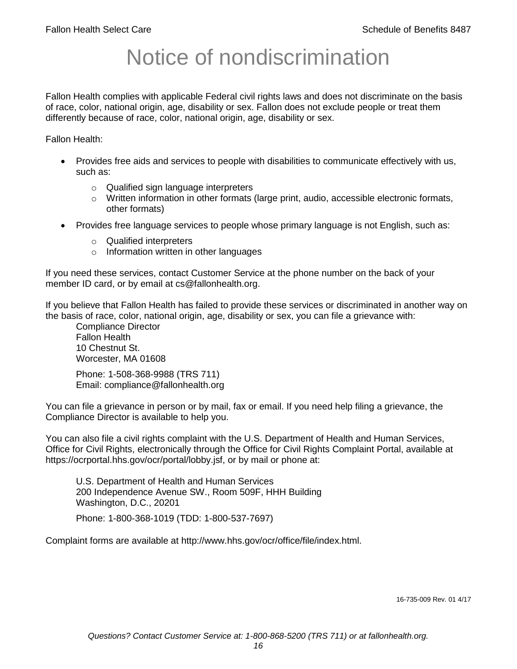# Notice of nondiscrimination

Fallon Health complies with applicable Federal civil rights laws and does not discriminate on the basis of race, color, national origin, age, disability or sex. Fallon does not exclude people or treat them differently because of race, color, national origin, age, disability or sex.

Fallon Health:

- Provides free aids and services to people with disabilities to communicate effectively with us, such as:
	- o Qualified sign language interpreters
	- $\circ$  Written information in other formats (large print, audio, accessible electronic formats, other formats)
- Provides free language services to people whose primary language is not English, such as:
	- o Qualified interpreters
	- o Information written in other languages

If you need these services, contact Customer Service at the phone number on the back of your member ID card, or by email at cs@fallonhealth.org.

If you believe that Fallon Health has failed to provide these services or discriminated in another way on the basis of race, color, national origin, age, disability or sex, you can file a grievance with:

Compliance Director Fallon Health 10 Chestnut St. Worcester, MA 01608

Phone: 1-508-368-9988 (TRS 711) Email: compliance@fallonhealth.org

You can file a grievance in person or by mail, fax or email. If you need help filing a grievance, the Compliance Director is available to help you.

You can also file a civil rights complaint with the U.S. Department of Health and Human Services, Office for Civil Rights, electronically through the Office for Civil Rights Complaint Portal, available at https://ocrportal.hhs.gov/ocr/portal/lobby.jsf, or by mail or phone at:

U.S. Department of Health and Human Services 200 Independence Avenue SW., Room 509F, HHH Building Washington, D.C., 20201 Phone: 1-800-368-1019 (TDD: 1-800-537-7697)

Complaint forms are available at http://www.hhs.gov/ocr/office/file/index.html.

16-735-009 Rev. 01 4/17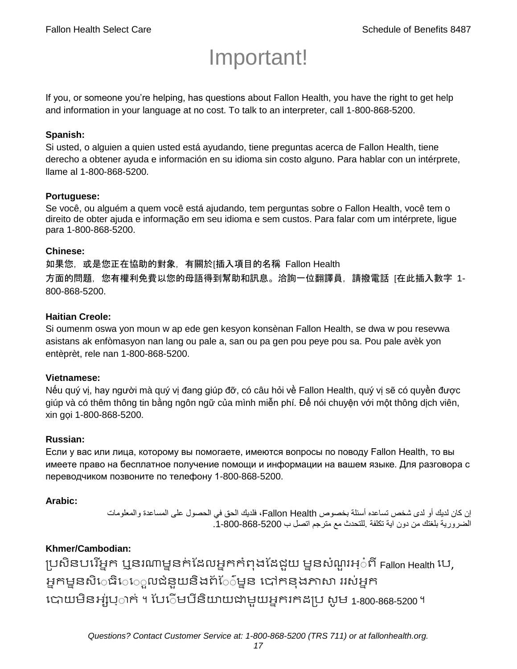# Important!

If you, or someone you're helping, has questions about Fallon Health, you have the right to get help and information in your language at no cost. To talk to an interpreter, call 1-800-868-5200.

## **Spanish:**

Si usted, o alguien a quien usted está ayudando, tiene preguntas acerca de Fallon Health, tiene derecho a obtener ayuda e información en su idioma sin costo alguno. Para hablar con un intérprete, llame al 1-800-868-5200.

#### **Portuguese:**

Se você, ou alguém a quem você está ajudando, tem perguntas sobre o Fallon Health, você tem o direito de obter ajuda e informação em seu idioma e sem custos. Para falar com um intérprete, ligue para 1-800-868-5200.

#### **Chinese:**

如果您,或是您正在協助的對象,有關於[插入項目的名稱 Fallon Health 方面的問題,您有權利免費以您的母語得到幫助和訊息。洽詢一位翻譯員,請撥電話 [在此插入數字 1- 800-868-5200.

#### **Haitian Creole:**

Si oumenm oswa yon moun w ap ede gen kesyon konsènan Fallon Health, se dwa w pou resevwa asistans ak enfòmasyon nan lang ou pale a, san ou pa gen pou peye pou sa. Pou pale avèk yon entèprèt, rele nan 1-800-868-5200.

#### **Vietnamese:**

Nếu quý vị, hay người mà quý vị đang giúp đỡ, có câu hỏi về Fallon Health, quý vị sẽ có quyền được giúp và có thêm thông tin bằng ngôn ngữ của mình miễn phí. Để nói chuyện với một thông dịch viên, xin gọi 1-800-868-5200.

#### **Russian:**

Если у вас или лица, которому вы помогаете, имеются вопросы по поводу Fallon Health, то вы имеете право на бесплатное получение помощи и информации на вашем языке. Для разговора с переводчиком позвоните по телефону 1-800-868-5200.

## **Arabic:**

إن كان لديك أو لدى شخص تساعده أسئلة بخصوص Health Fallon، فلديك الحق في الحصول على المساعدة والمعلومات الضرورية بلغتك من دون اية تكلفة .للتحدث مع مترجم اتصل ب .1-800-868-5200

## **Khmer/Cambodian:**

ប្រសិនបរើអ្នក ឬនរណាមួនក់ដែលអ្នកកំពុងដែដួយ មួនសំណួរអ្៎ពី Fallon Health បេ, អ្នកម្ននសិេធិេេួលជំនួយនិងព័ែ៌ម្នន បៅកនុងភាសា ររស់អ្នក រោយម្ិនអ្ស់រ្ំ ក់ ។ ដររំម្ រនី ិយាយជាម្ួយអ្នក កែប្រ សូ ម្ 1-800-868-5200 ។